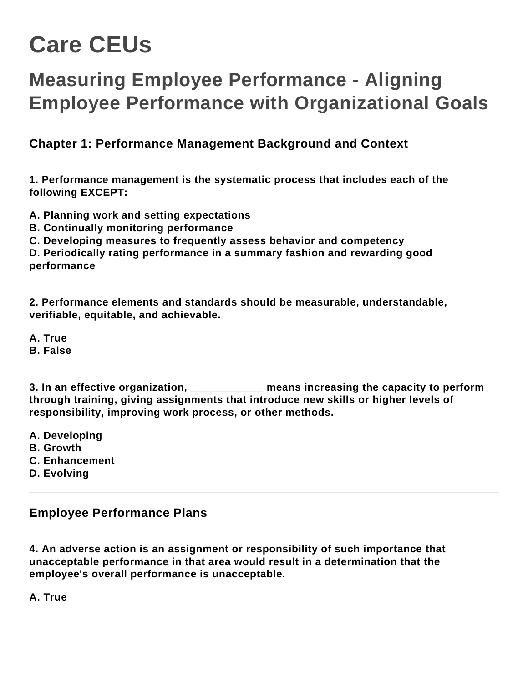# **Care CEUs**

## **Measuring Employee Performance - Aligning Employee Performance with Organizational Goals**

**Chapter 1: Performance Management Background and Context**

**1. Performance management is the systematic process that includes each of the following EXCEPT:**

**A. Planning work and setting expectations**

- **B. Continually monitoring performance**
- **C. Developing measures to frequently assess behavior and competency**

**D. Periodically rating performance in a summary fashion and rewarding good performance**

**2. Performance elements and standards should be measurable, understandable, verifiable, equitable, and achievable.**

**A. True**

**B. False**

**3. In an effective organization, \_\_\_\_\_\_\_\_\_\_\_\_ means increasing the capacity to perform through training, giving assignments that introduce new skills or higher levels of responsibility, improving work process, or other methods.**

- **A. Developing**
- **B. Growth**
- **C. Enhancement**
- **D. Evolving**

#### **Employee Performance Plans**

**4. An adverse action is an assignment or responsibility of such importance that unacceptable performance in that area would result in a determination that the employee's overall performance is unacceptable.**

**A. True**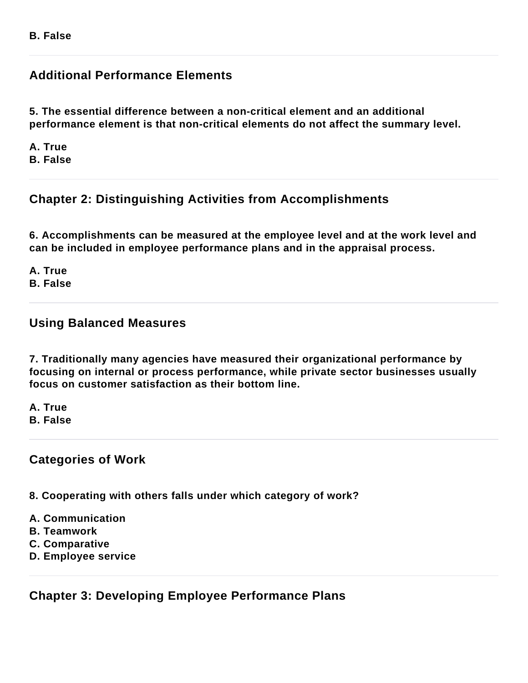### **Additional Performance Elements**

**5. The essential difference between a non-critical element and an additional performance element is that non-critical elements do not affect the summary level.**

**A. True B. False**

#### **Chapter 2: Distinguishing Activities from Accomplishments**

**6. Accomplishments can be measured at the employee level and at the work level and can be included in employee performance plans and in the appraisal process.**

**A. True B. False**

#### **Using Balanced Measures**

**7. Traditionally many agencies have measured their organizational performance by focusing on internal or process performance, while private sector businesses usually focus on customer satisfaction as their bottom line.**

**A. True B. False**

#### **Categories of Work**

**8. Cooperating with others falls under which category of work?**

- **A. Communication**
- **B. Teamwork**
- **C. Comparative**
- **D. Employee service**

**Chapter 3: Developing Employee Performance Plans**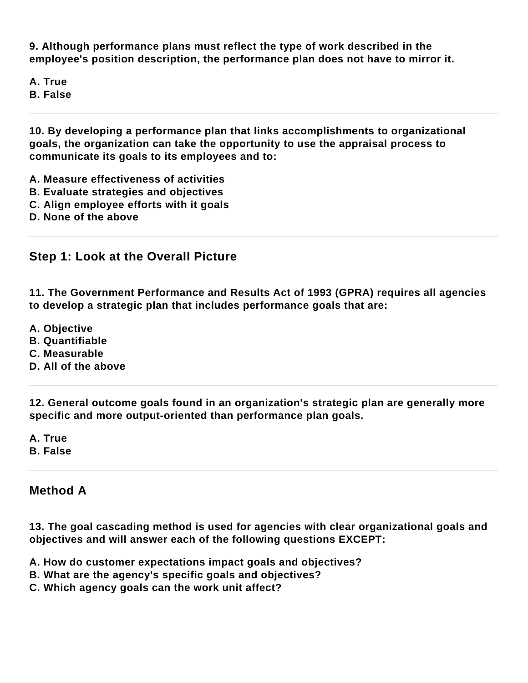**9. Although performance plans must reflect the type of work described in the employee's position description, the performance plan does not have to mirror it.**

**A. True B. False**

**10. By developing a performance plan that links accomplishments to organizational goals, the organization can take the opportunity to use the appraisal process to communicate its goals to its employees and to:**

- **A. Measure effectiveness of activities**
- **B. Evaluate strategies and objectives**
- **C. Align employee efforts with it goals**
- **D. None of the above**

#### **Step 1: Look at the Overall Picture**

**11. The Government Performance and Results Act of 1993 (GPRA) requires all agencies to develop a strategic plan that includes performance goals that are:**

- **A. Objective**
- **B. Quantifiable**
- **C. Measurable**
- **D. All of the above**

**12. General outcome goals found in an organization's strategic plan are generally more specific and more output-oriented than performance plan goals.**

**A. True B. False**

#### **Method A**

**13. The goal cascading method is used for agencies with clear organizational goals and objectives and will answer each of the following questions EXCEPT:**

- **A. How do customer expectations impact goals and objectives?**
- **B. What are the agency's specific goals and objectives?**
- **C. Which agency goals can the work unit affect?**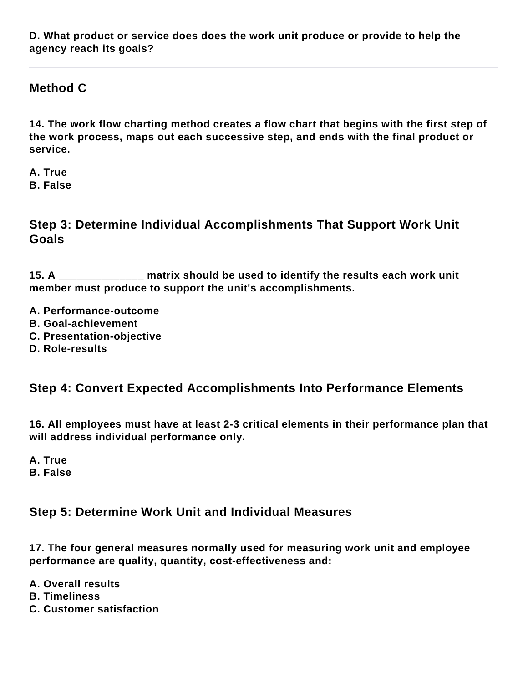**D. What product or service does does the work unit produce or provide to help the agency reach its goals?**

#### **Method C**

**14. The work flow charting method creates a flow chart that begins with the first step of the work process, maps out each successive step, and ends with the final product or service.**

**A. True B. False**

**Step 3: Determine Individual Accomplishments That Support Work Unit Goals**

**15. A \_\_\_\_\_\_\_\_\_\_\_\_\_\_ matrix should be used to identify the results each work unit member must produce to support the unit's accomplishments.**

**A. Performance-outcome**

- **B. Goal-achievement**
- **C. Presentation-objective**
- **D. Role-results**

#### **Step 4: Convert Expected Accomplishments Into Performance Elements**

**16. All employees must have at least 2-3 critical elements in their performance plan that will address individual performance only.**

**A. True B. False**

#### **Step 5: Determine Work Unit and Individual Measures**

**17. The four general measures normally used for measuring work unit and employee performance are quality, quantity, cost-effectiveness and:**

- **A. Overall results**
- **B. Timeliness**
- **C. Customer satisfaction**